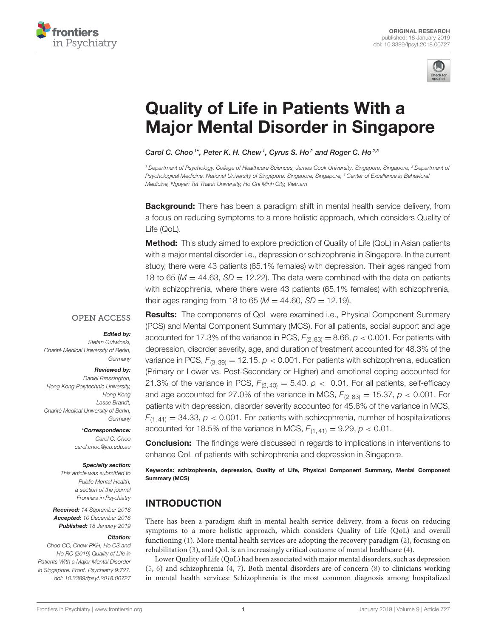



# Quality of Life in Patients With a [Major Mental Disorder in Singapore](https://www.frontiersin.org/articles/10.3389/fpsyt.2018.00727/full)

[Carol C. Choo](http://loop.frontiersin.org/people/458175/overview)<sup>1\*</sup>, [Peter K. H. Chew](http://loop.frontiersin.org/people/473041/overview)<sup>1</sup>, [Cyrus S. Ho](http://loop.frontiersin.org/people/333075/overview)<sup>2</sup> and [Roger C. Ho](http://loop.frontiersin.org/people/471523/overview)<sup>2,3</sup>

<sup>1</sup> Department of Psychology, College of Healthcare Sciences, James Cook University, Singapore, Singapore, <sup>2</sup> Department of Psychological Medicine, National University of Singapore, Singapore, Singapore, <sup>3</sup> Center of Excellence in Behavioral Medicine, Nguyen Tat Thanh University, Ho Chi Minh City, Vietnam

**Background:** There has been a paradigm shift in mental health service delivery, from a focus on reducing symptoms to a more holistic approach, which considers Quality of Life (QoL).

**Method:** This study aimed to explore prediction of Quality of Life (QoL) in Asian patients with a major mental disorder i.e., depression or schizophrenia in Singapore. In the current study, there were 43 patients (65.1% females) with depression. Their ages ranged from 18 to 65 ( $M = 44.63$ ,  $SD = 12.22$ ). The data were combined with the data on patients with schizophrenia, where there were 43 patients (65.1% females) with schizophrenia, their ages ranging from 18 to 65 ( $M = 44.60$ ,  $SD = 12.19$ ).

#### **OPEN ACCESS**

#### Edited by:

Stefan Gutwinski, Charité Medical University of Berlin, **Germany** 

#### Reviewed by:

Daniel Bressington, Hong Kong Polytechnic University, Hong Kong Lasse Brandt, Charité Medical University of Berlin, **Germany** 

> \*Correspondence: Carol C. Choo [carol.choo@jcu.edu.au](mailto:carol.choo@jcu.edu.au)

#### Specialty section:

This article was submitted to Public Mental Health, a section of the journal Frontiers in Psychiatry

Received: 14 September 2018 Accepted: 10 December 2018 Published: 18 January 2019

#### Citation:

Choo CC, Chew PKH, Ho CS and Ho RC (2019) Quality of Life in Patients With a Major Mental Disorder in Singapore. Front. Psychiatry 9:727. doi: [10.3389/fpsyt.2018.00727](https://doi.org/10.3389/fpsyt.2018.00727)

Results: The components of QoL were examined i.e., Physical Component Summary (PCS) and Mental Component Summary (MCS). For all patients, social support and age accounted for 17.3% of the variance in PCS,  $F_{(2, 83)} = 8.66$ ,  $p < 0.001$ . For patients with depression, disorder severity, age, and duration of treatment accounted for 48.3% of the variance in PCS,  $F_{(3, 39)} = 12.15$ ,  $p < 0.001$ . For patients with schizophrenia, education (Primary or Lower vs. Post-Secondary or Higher) and emotional coping accounted for 21.3% of the variance in PCS,  $F_{(2, 40)} = 5.40$ ,  $p < 0.01$ . For all patients, self-efficacy and age accounted for 27.0% of the variance in MCS,  $F_{(2, 83)} = 15.37$ ,  $p < 0.001$ . For patients with depression, disorder severity accounted for 45.6% of the variance in MCS,  $F_{(1,41)} = 34.33, p < 0.001$ . For patients with schizophrenia, number of hospitalizations accounted for 18.5% of the variance in MCS,  $F_{(1,41)} = 9.29$ ,  $p < 0.01$ .

**Conclusion:** The findings were discussed in regards to implications in interventions to enhance QoL of patients with schizophrenia and depression in Singapore.

Keywords: schizophrenia, depression, Quality of Life, Physical Component Summary, Mental Component Summary (MCS)

# INTRODUCTION

There has been a paradigm shift in mental health service delivery, from a focus on reducing symptoms to a more holistic approach, which considers Quality of Life (QoL) and overall functioning [\(1\)](#page-5-0). More mental health services are adopting the recovery paradigm [\(2\)](#page-5-1), focusing on rehabilitation [\(3\)](#page-5-2), and QoL is an increasingly critical outcome of mental healthcare [\(4\)](#page-5-3).

Lower Quality of Life (QoL) had been associated with major mental disorders, such as depression [\(5,](#page-5-4) [6\)](#page-5-5) and schizophrenia [\(4,](#page-5-3) [7\)](#page-5-6). Both mental disorders are of concern [\(8\)](#page-5-7) to clinicians working in mental health services: Schizophrenia is the most common diagnosis among hospitalized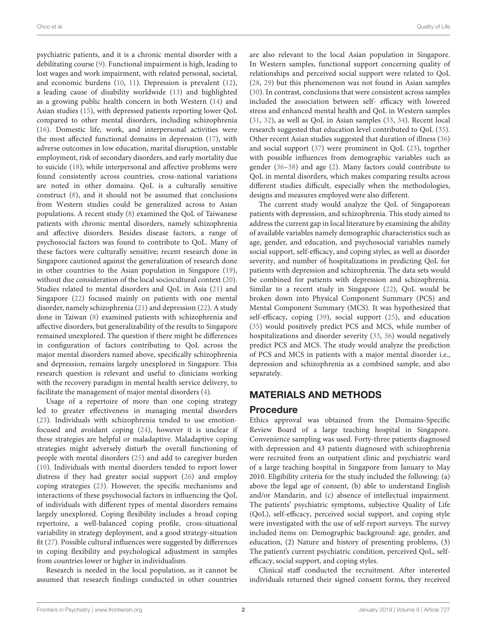psychiatric patients, and it is a chronic mental disorder with a debilitating course [\(9\)](#page-5-8). Functional impairment is high, leading to lost wages and work impairment, with related personal, societal, and economic burdens [\(10,](#page-5-9) [11\)](#page-5-10). Depression is prevalent [\(12\)](#page-5-11), a leading cause of disability worldwide [\(13\)](#page-5-12) and highlighted as a growing public health concern in both Western [\(14\)](#page-5-13) and Asian studies [\(15\)](#page-5-14), with depressed patients reporting lower QoL compared to other mental disorders, including schizophrenia [\(16\)](#page-5-15). Domestic life, work, and interpersonal activities were the most affected functional domains in depression [\(17\)](#page-5-16), with adverse outcomes in low education, marital disruption, unstable employment, risk of secondary disorders, and early mortality due to suicide [\(18\)](#page-5-17); while interpersonal and affective problems were found consistently across countries, cross-national variations are noted in other domains. QoL is a culturally sensitive construct [\(8\)](#page-5-7), and it should not be assumed that conclusions from Western studies could be generalized across to Asian populations. A recent study [\(8\)](#page-5-7) examined the QoL of Taiwanese patients with chronic mental disorders, namely schizophrenia and affective disorders. Besides disease factors, a range of psychosocial factors was found to contribute to QoL. Many of these factors were culturally sensitive; recent research done in Singapore cautioned against the generalization of research done in other countries to the Asian population in Singapore [\(19\)](#page-5-18), without due consideration of the local sociocultural context [\(20\)](#page-5-19). Studies related to mental disorders and QoL in Asia [\(21\)](#page-5-20) and Singapore [\(22\)](#page-5-21) focused mainly on patients with one mental disorder, namely schizophrenia [\(21\)](#page-5-20) and depression [\(22\)](#page-5-21). A study done in Taiwan [\(8\)](#page-5-7) examined patients with schizophrenia and affective disorders, but generalizability of the results to Singapore remained unexplored. The question if there might be differences in configuration of factors contributing to QoL across the major mental disorders named above, specifically schizophrenia and depression, remains largely unexplored in Singapore. This research question is relevant and useful to clinicians working with the recovery paradigm in mental health service delivery, to facilitate the management of major mental disorders [\(4\)](#page-5-3).

Usage of a repertoire of more than one coping strategy led to greater effectiveness in managing mental disorders [\(23\)](#page-5-22). Individuals with schizophrenia tended to use emotionfocused and avoidant coping [\(24\)](#page-5-23), however it is unclear if these strategies are helpful or maladaptive. Maladaptive coping strategies might adversely disturb the overall functioning of people with mental disorders [\(25\)](#page-5-24) and add to caregiver burden [\(10\)](#page-5-9). Individuals with mental disorders tended to report lower distress if they had greater social support [\(26\)](#page-5-25) and employ coping strategies [\(23\)](#page-5-22). However, the specific mechanisms and interactions of these psychosocial factors in influencing the QoL of individuals with different types of mental disorders remains largely unexplored. Coping flexibility includes a broad coping repertoire, a well-balanced coping profile, cross-situational variability in strategy deployment, and a good strategy-situation fit [\(27\)](#page-5-26). Possible cultural influences were suggested by differences in coping flexibility and psychological adjustment in samples from countries lower or higher in individualism.

Research is needed in the local population, as it cannot be assumed that research findings conducted in other countries are also relevant to the local Asian population in Singapore. In Western samples, functional support concerning quality of relationships and perceived social support were related to QoL [\(28,](#page-5-27) [29\)](#page-5-28) but this phenomenon was not found in Asian samples [\(30\)](#page-5-29). In contrast, conclusions that were consistent across samples included the association between self- efficacy with lowered stress and enhanced mental health and QoL in Western samples [\(31,](#page-5-30) [32\)](#page-5-31), as well as QoL in Asian samples [\(33,](#page-5-32) [34\)](#page-5-33). Recent local research suggested that education level contributed to QoL [\(35\)](#page-5-34). Other recent Asian studies suggested that duration of illness [\(36\)](#page-5-35) and social support [\(37\)](#page-5-36) were prominent in QoL [\(23\)](#page-5-22), together with possible influences from demographic variables such as gender [\(36](#page-5-35)[–38\)](#page-5-37) and age [\(2\)](#page-5-1). Many factors could contribute to QoL in mental disorders, which makes comparing results across different studies difficult, especially when the methodologies, designs and measures employed were also different.

The current study would analyze the QoL of Singaporean patients with depression, and schizophrenia. This study aimed to address the current gap in local literature by examining the ability of available variables namely demographic characteristics such as age, gender, and education, and psychosocial variables namely social support, self-efficacy, and coping styles, as well as disorder severity, and number of hospitalizations in predicting QoL for patients with depression and schizophrenia. The data sets would be combined for patients with depression and schizophrenia. Similar to a recent study in Singapore [\(22\)](#page-5-21), QoL would be broken down into Physical Component Summary (PCS) and Mental Component Summary (MCS). It was hypothesized that self-efficacy, coping [\(39\)](#page-5-38), social support [\(25\)](#page-5-24), and education [\(35\)](#page-5-34) would positively predict PCS and MCS, while number of hospitalizations and disorder severity [\(33,](#page-5-32) [36\)](#page-5-35) would negatively predict PCS and MCS. The study would analyze the prediction of PCS and MCS in patients with a major mental disorder i.e., depression and schizophrenia as a combined sample, and also separately.

## MATERIALS AND METHODS

#### Procedure

Ethics approval was obtained from the Domains-Specific Review Board of a large teaching hospital in Singapore. Convenience sampling was used. Forty-three patients diagnosed with depression and 43 patients diagnosed with schizophrenia were recruited from an outpatient clinic and psychiatric ward of a large teaching hospital in Singapore from January to May 2010. Eligibility criteria for the study included the following: (a) above the legal age of consent, (b) able to understand English and/or Mandarin, and (c) absence of intellectual impairment. The patients' psychiatric symptoms, subjective Quality of Life (QoL), self-efficacy, perceived social support, and coping style were investigated with the use of self-report surveys. The survey included items on: Demographic background: age, gender, and education, (2) Nature and history of presenting problems, (3) The patient's current psychiatric condition, perceived QoL, selfefficacy, social support, and coping styles.

Clinical staff conducted the recruitment. After interested individuals returned their signed consent forms, they received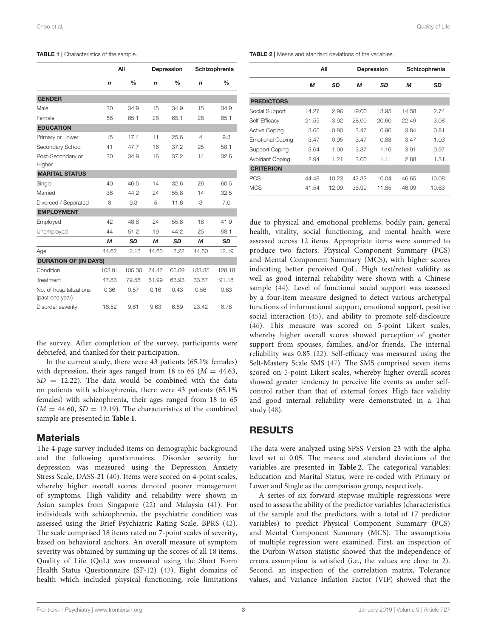#### <span id="page-2-0"></span>TABLE 1 | Characteristics of the sample.

|                                            | All    |               |             | Depression    | Schizophrenia  |               |
|--------------------------------------------|--------|---------------|-------------|---------------|----------------|---------------|
|                                            | n      | $\frac{0}{n}$ | $\mathbf n$ | $\frac{0}{n}$ | $\mathsf{n}$   | $\frac{0}{n}$ |
| <b>GENDER</b>                              |        |               |             |               |                |               |
| Male                                       | 30     | 34.9          | 15          | 34.9          | 15             | 34.9          |
| Female                                     | 56     | 65.1          | 28          | 65.1          | 28             | 65.1          |
| <b>EDUCATION</b>                           |        |               |             |               |                |               |
| Primary or Lower                           | 15     | 17.4          | 11          | 25.6          | $\overline{4}$ | 9.3           |
| Secondary School                           | 41     | 47.7          | 16          | 37.2          | 25             | 58.1          |
| Post-Secondary or<br>Higher                | 30     | 34.9          | 16          | 37.2          | 14             | 32.6          |
| <b>MARITAL STATUS</b>                      |        |               |             |               |                |               |
| Single                                     | 40     | 46.5          | 14          | 32.6          | 26             | 60.5          |
| Married                                    | 38     | 44.2          | 24          | 55.8          | 14             | 32.5          |
| Divorced / Separated                       | 8      | 9.3           | 5           | 11.6          | 3              | 7.0           |
| <b>EMPLOYMENT</b>                          |        |               |             |               |                |               |
| Employed                                   | 42     | 48.8          | 24          | 55.8          | 18             | 41.9          |
| Unemployed                                 | 44     | 51.2          | 19          | 44.2          | 25             | 58.1          |
|                                            | M      | <b>SD</b>     | M           | <b>SD</b>     | М              | <b>SD</b>     |
| Age                                        | 44.62  | 12.13         | 44.63       | 12.22         | 44.60          | 12.19         |
| <b>DURATION OF (IN DAYS)</b>               |        |               |             |               |                |               |
| Condition                                  | 103.91 | 105.30        | 74.47       | 65.09         | 133.35         | 128.18        |
| Treatment                                  | 47.83  | 79.56         | 61.99       | 63.93         | 33.67          | 91.18         |
| No. of hospitalizations<br>(past one year) | 0.36   | 0.57          | 0.16        | 0.43          | 0.56           | 0.63          |
| Disorder severity                          | 16.52  | 9.61          | 9.63        | 6.59          | 23.42          | 6.78          |

the survey. After completion of the survey, participants were debriefed, and thanked for their participation.

In the current study, there were 43 patients (65.1% females) with depression, their ages ranged from 18 to 65 ( $M = 44.63$ ,  $SD = 12.22$ ). The data would be combined with the data on patients with schizophrenia, there were 43 patients (65.1% females) with schizophrenia, their ages ranged from 18 to 65  $(M = 44.60, SD = 12.19)$ . The characteristics of the combined sample are presented in **[Table 1](#page-2-0)**.

#### **Materials**

The 4-page survey included items on demographic background and the following questionnaires. Disorder severity for depression was measured using the Depression Anxiety Stress Scale, DASS-21 [\(40\)](#page-6-0). Items were scored on 4-point scales, whereby higher overall scores denoted poorer management of symptoms. High validity and reliability were shown in Asian samples from Singapore [\(22\)](#page-5-21) and Malaysia [\(41\)](#page-6-1). For individuals with schizophrenia, the psychiatric condition was assessed using the Brief Psychiatric Rating Scale, BPRS [\(42\)](#page-6-2). The scale comprised 18 items rated on 7-point scales of severity, based on behavioral anchors. An overall measure of symptom severity was obtained by summing up the scores of all 18 items. Quality of Life (QoL) was measured using the Short Form Health Status Questionnaire (SF-12) [\(43\)](#page-6-3). Eight domains of health which included physical functioning, role limitations <span id="page-2-1"></span>TABLE 2 | Means and standard deviations of the variables.

|                         | All   |       |       | <b>Depression</b> | Schizophrenia |       |  |
|-------------------------|-------|-------|-------|-------------------|---------------|-------|--|
|                         | М     | SD    | М     | SD                | М             | SD    |  |
| <b>PREDICTORS</b>       |       |       |       |                   |               |       |  |
| Social Support          | 14.27 | 2.96  | 19.00 | 13.95             | 14.58         | 2.74  |  |
| Self-Efficacy           | 21.55 | 3.92  | 28.00 | 20.60             | 22.49         | 3.08  |  |
| <b>Active Coping</b>    | 3.65  | 0.90  | 3.47  | 0.96              | 3.84          | 0.81  |  |
| <b>Emotional Coping</b> | 3.47  | 0.95  | 3.47  | 0.88              | 3.47          | 1.03  |  |
| Support Coping          | 3.64  | 1.09  | 3.37  | 1.16              | 3.91          | 0.97  |  |
| Avoidant Coping         | 2.94  | 1.21  | 3.00  | 1.11              | 2.88          | 1.31  |  |
| <b>CRITERION</b>        |       |       |       |                   |               |       |  |
| <b>PCS</b>              | 44.48 | 10.23 | 42.32 | 10.04             | 46.65         | 10.08 |  |
| <b>MCS</b>              | 41.54 | 12.09 | 36.99 | 11.85             | 46.09         | 10.63 |  |

due to physical and emotional problems, bodily pain, general health, vitality, social functioning, and mental health were assessed across 12 items. Appropriate items were summed to produce two factors: Physical Component Summary (PCS) and Mental Component Summary (MCS), with higher scores indicating better perceived QoL. High test/retest validity as well as good internal reliability were shown with a Chinese sample [\(44\)](#page-6-4). Level of functional social support was assessed by a four-item measure designed to detect various archetypal functions of informational support, emotional support, positive social interaction [\(45\)](#page-6-5), and ability to promote self-disclosure [\(46\)](#page-6-6). This measure was scored on 5-point Likert scales, whereby higher overall scores showed perception of greater support from spouses, families, and/or friends. The internal reliability was 0.85 [\(22\)](#page-5-21). Self-efficacy was measured using the Self-Mastery Scale SMS [\(47\)](#page-6-7). The SMS comprised seven items scored on 5-point Likert scales, whereby higher overall scores showed greater tendency to perceive life events as under selfcontrol rather than that of external forces. High face validity and good internal reliability were demonstrated in a Thai study [\(48\)](#page-6-8).

## RESULTS

The data were analyzed using SPSS Version 23 with the alpha level set at 0.05. The means and standard deviations of the variables are presented in **[Table 2](#page-2-1)**. The categorical variables: Education and Marital Status, were re-coded with Primary or Lower and Single as the comparison group, respectively.

A series of six forward stepwise multiple regressions were used to assess the ability of the predictor variables (characteristics of the sample and the predictors, with a total of 17 predictor variables) to predict Physical Component Summary (PCS) and Mental Component Summary (MCS). The assumptions of multiple regression were examined. First, an inspection of the Durbin-Watson statistic showed that the independence of errors assumption is satisfied (i.e., the values are close to 2). Second, an inspection of the correlation matrix, Tolerance values, and Variance Inflation Factor (VIF) showed that the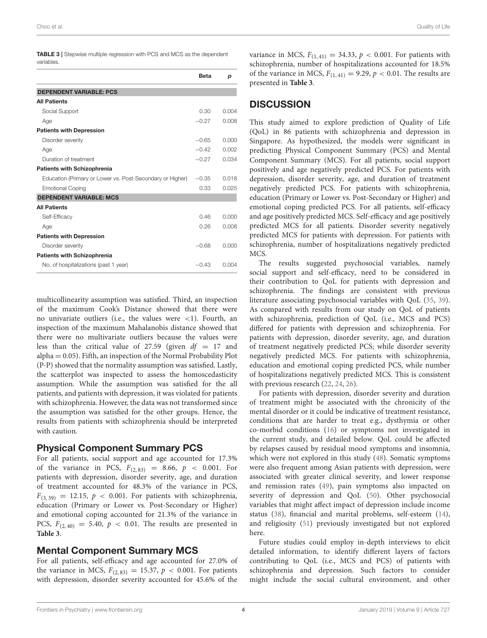<span id="page-3-0"></span>

| <b>TABLE 3</b> Stepwise multiple regression with PCS and MCS as the dependent |  |  |  |  |  |
|-------------------------------------------------------------------------------|--|--|--|--|--|
| variables.                                                                    |  |  |  |  |  |

|                                                           | <b>Beta</b> | р     |
|-----------------------------------------------------------|-------------|-------|
| <b>DEPENDENT VARIABLE: PCS</b>                            |             |       |
| <b>All Patients</b>                                       |             |       |
| Social Support                                            | 0.30        | 0.004 |
| Age                                                       | $-0.27$     | 0.008 |
| <b>Patients with Depression</b>                           |             |       |
| Disorder severity                                         | $-0.65$     | 0.000 |
| Age                                                       | $-0.42$     | 0.002 |
| Duration of treatment                                     | $-0.27$     | 0.034 |
| <b>Patients with Schizophrenia</b>                        |             |       |
| Education (Primary or Lower vs. Post-Secondary or Higher) | $-0.35$     | 0.018 |
| <b>Emotional Coping</b>                                   | 0.33        | 0.025 |
| <b>DEPENDENT VARIABLE: MCS</b>                            |             |       |
| <b>All Patients</b>                                       |             |       |
| Self-Efficacy                                             | 0.46        | 0.000 |
| Age                                                       | 0.26        | 0.008 |
| <b>Patients with Depression</b>                           |             |       |
| Disorder severity                                         | $-0.68$     | 0.000 |
| <b>Patients with Schizophrenia</b>                        |             |       |
| No. of hospitalizations (past 1 year)                     | $-0.43$     | 0.004 |

multicollinearity assumption was satisfied. Third, an inspection of the maximum Cook's Distance showed that there were no univariate outliers (i.e., the values were  $\langle 1 \rangle$ . Fourth, an inspection of the maximum Mahalanobis distance showed that there were no multivariate outliers because the values were less than the critical value of 27.59 (given  $df = 17$  and  $alpha = 0.05$ ). Fifth, an inspection of the Normal Probability Plot (P-P) showed that the normality assumption was satisfied. Lastly, the scatterplot was inspected to assess the homoscedasticity assumption. While the assumption was satisfied for the all patients, and patients with depression, it was violated for patients with schizophrenia. However, the data was not transformed since the assumption was satisfied for the other groups. Hence, the results from patients with schizophrenia should be interpreted with caution.

## Physical Component Summary PCS

For all patients, social support and age accounted for 17.3% of the variance in PCS,  $F_{(2, 83)} = 8.66$ ,  $p < 0.001$ . For patients with depression, disorder severity, age, and duration of treatment accounted for 48.3% of the variance in PCS,  $F_{(3,39)} = 12.15, p < 0.001$ . For patients with schizophrenia, education (Primary or Lower vs. Post-Secondary or Higher) and emotional coping accounted for 21.3% of the variance in PCS,  $F_{(2,40)} = 5.40$ ,  $p < 0.01$ . The results are presented in **[Table 3](#page-3-0)**.

## Mental Component Summary MCS

For all patients, self-efficacy and age accounted for 27.0% of the variance in MCS,  $F_{(2, 83)} = 15.37$ ,  $p < 0.001$ . For patients with depression, disorder severity accounted for 45.6% of the variance in MCS,  $F_{(1,41)} = 34.33$ ,  $p < 0.001$ . For patients with schizophrenia, number of hospitalizations accounted for 18.5% of the variance in MCS,  $F_{(1,41)} = 9.29$ ,  $p < 0.01$ . The results are presented in **[Table 3](#page-3-0)**.

## **DISCUSSION**

This study aimed to explore prediction of Quality of Life (QoL) in 86 patients with schizophrenia and depression in Singapore. As hypothesized, the models were significant in predicting Physical Component Summary (PCS) and Mental Component Summary (MCS). For all patients, social support positively and age negatively predicted PCS. For patients with depression, disorder severity, age, and duration of treatment negatively predicted PCS. For patients with schizophrenia, education (Primary or Lower vs. Post-Secondary or Higher) and emotional coping predicted PCS. For all patients, self-efficacy and age positively predicted MCS. Self-efficacy and age positively predicted MCS for all patients. Disorder severity negatively predicted MCS for patients with depression. For patients with schizophrenia, number of hospitalizations negatively predicted MCS.

The results suggested psychosocial variables, namely social support and self-efficacy, need to be considered in their contribution to QoL for patients with depression and schizophrenia. The findings are consistent with previous literature associating psychosocial variables with QoL [\(35,](#page-5-34) [39\)](#page-5-38). As compared with results from our study on QoL of patients with schizophrenia, prediction of QoL (i.e., MCS and PCS) differed for patients with depression and schizophrenia. For patients with depression, disorder severity, age, and duration of treatment negatively predicted PCS; while disorder severity negatively predicted MCS. For patients with schizophrenia, education and emotional coping predicted PCS, while number of hospitalizations negatively predicted MCS. This is consistent with previous research [\(22,](#page-5-21) [24,](#page-5-23) [26\)](#page-5-25).

For patients with depression, disorder severity and duration of treatment might be associated with the chronicity of the mental disorder or it could be indicative of treatment resistance, conditions that are harder to treat e.g., dysthymia or other co-morbid conditions [\(16\)](#page-5-15) or symptoms not investigated in the current study, and detailed below. QoL could be affected by relapses caused by residual mood symptoms and insomnia, which were not explored in this study [\(48\)](#page-6-8). Somatic symptoms were also frequent among Asian patients with depression, were associated with greater clinical severity, and lower response and remission rates [\(49\)](#page-6-9), pain symptoms also impacted on severity of depression and QoL [\(50\)](#page-6-10). Other psychosocial variables that might affect impact of depression include income status [\(38\)](#page-5-37), financial and marital problems, self-esteem [\(14\)](#page-5-13), and religiosity [\(51\)](#page-6-11) previously investigated but not explored here.

Future studies could employ in-depth interviews to elicit detailed information, to identify different layers of factors contributing to QoL (i.e., MCS and PCS) of patients with schizophrenia and depression. Such factors to consider might include the social cultural environment, and other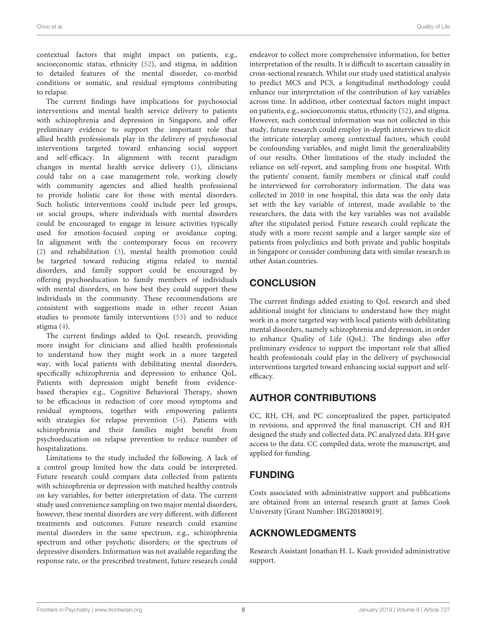Choo et al. Quality of Life

contextual factors that might impact on patients, e.g., socioeconomic status, ethnicity [\(52\)](#page-6-12), and stigma, in addition to detailed features of the mental disorder, co-morbid conditions or somatic, and residual symptoms contributing to relapse.

The current findings have implications for psychosocial interventions and mental health service delivery to patients with schizophrenia and depression in Singapore, and offer preliminary evidence to support the important role that allied health professionals play in the delivery of psychosocial interventions targeted toward enhancing social support and self-efficacy. In alignment with recent paradigm changes in mental health service delivery [\(1\)](#page-5-0), clinicians could take on a case management role, working closely with community agencies and allied health professional to provide holistic care for those with mental disorders. Such holistic interventions could include peer led groups, or social groups, where individuals with mental disorders could be encouraged to engage in leisure activities typically used for emotion-focused coping or avoidance coping. In alignment with the contemporary focus on recovery [\(2\)](#page-5-1) and rehabilitation [\(3\)](#page-5-2), mental health promotion could be targeted toward reducing stigma related to mental disorders, and family support could be encouraged by offering psychoeducation to family members of individuals with mental disorders, on how best they could support these individuals in the community. These recommendations are consistent with suggestions made in other recent Asian studies to promote family interventions [\(53\)](#page-6-13) and to reduce stigma [\(4\)](#page-5-3).

The current findings added to QoL research, providing more insight for clinicians and allied health professionals to understand how they might work in a more targeted way, with local patients with debilitating mental disorders, specifically schizophrenia and depression to enhance QoL. Patients with depression might benefit from evidencebased therapies e.g., Cognitive Behavioral Therapy, shown to be efficacious in reduction of core mood symptoms and residual symptoms, together with empowering patients with strategies for relapse prevention [\(54\)](#page-6-14). Patients with schizophrenia and their families might benefit from psychoeducation on relapse prevention to reduce number of hospitalizations.

Limitations to the study included the following. A lack of a control group limited how the data could be interpreted. Future research could compare data collected from patients with schizophrenia or depression with matched healthy controls on key variables, for better interpretation of data. The current study used convenience sampling on two major mental disorders, however, these mental disorders are very different, with different treatments and outcomes. Future research could examine mental disorders in the same spectrum, e.g., schizophrenia spectrum and other psychotic disorders; or the spectrum of depressive disorders. Information was not available regarding the response rate, or the prescribed treatment, future research could endeavor to collect more comprehensive information, for better interpretation of the results. It is difficult to ascertain causality in cross-sectional research. Whilst our study used statistical analysis to predict MCS and PCS, a longitudinal methodology could enhance our interpretation of the contribution of key variables across time. In addition, other contextual factors might impact on patients, e.g., socioeconomic status, ethnicity [\(52\)](#page-6-12), and stigma. However, such contextual information was not collected in this study, future research could employ in-depth interviews to elicit the intricate interplay among contextual factors, which could be confounding variables, and might limit the generalizability of our results. Other limitations of the study included the reliance on self-report, and sampling from one hospital. With the patients' consent, family members or clinical staff could be interviewed for corroboratory information. The data was collected in 2010 in one hospital, this data was the only data set with the key variable of interest, made available to the researchers, the data with the key variables was not available after the stipulated period. Future research could replicate the study with a more recent sample and a larger sample size of patients from polyclinics and both private and public hospitals in Singapore or consider combining data with similar research in other Asian countries.

# **CONCLUSION**

The current findings added existing to QoL research and shed additional insight for clinicians to understand how they might work in a more targeted way with local patients with debilitating mental disorders, namely schizophrenia and depression, in order to enhance Quality of Life (QoL). The findings also offer preliminary evidence to support the important role that allied health professionals could play in the delivery of psychosocial interventions targeted toward enhancing social support and selfefficacy.

# AUTHOR CONTRIBUTIONS

CC, RH, CH, and PC conceptualized the paper, participated in revisions, and approved the final manuscript. CH and RH designed the study and collected data. PC analyzed data. RH gave access to the data. CC compiled data, wrote the manuscript, and applied for funding.

# FUNDING

Costs associated with administrative support and publications are obtained from an internal research grant at James Cook University [Grant Number: IRG20180019].

# ACKNOWLEDGMENTS

Research Assistant Jonathan H. L. Kuek provided administrative support.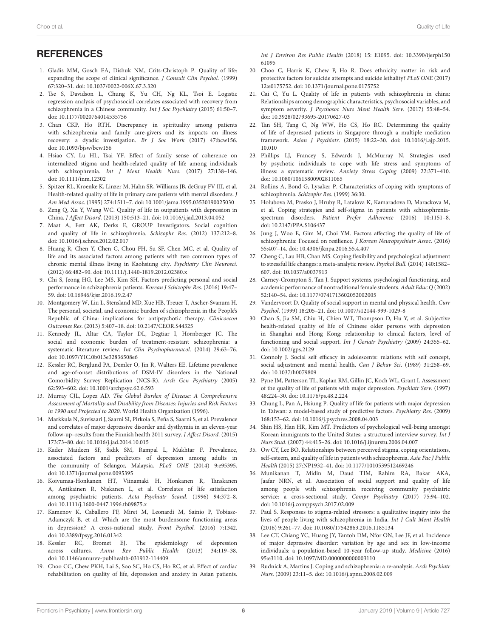#### **REFERENCES**

- <span id="page-5-0"></span>1. Gladis MM, Gosch EA, Dishuk NM, Crits-Christoph P. Quality of life: expanding the scope of clinical significance. J Consult Clin Psychol. (1999) 67:320–31. doi: [10.1037/0022-006X.67.3.320](https://doi.org/10.1037/0022-006X.67.3.320)
- <span id="page-5-1"></span>2. Tse S, Davidson L, Chung K, Yu CH, Ng KL, Tsoi E. Logistic regression analysis of psychosocial correlates associated with recovery from schizophrenia in a Chinese community. Int J Soc Psychiatry (2015) 61:50–7. doi: [10.1177/0020764014535756](https://doi.org/10.1177/0020764014535756)
- <span id="page-5-2"></span>3. Chan CKP, Ho RTH. Discrepancy in spirituality among patients with schizophrenia and family care-givers and its impacts on illness recovery: a dyadic investigation. Br J Soc Work (2017) 47:bcw156. doi: [10.1093/bjsw/bcw156](https://doi.org/10.1093/bjsw/bcw156)
- <span id="page-5-3"></span>4. Hsiao CY, Lu HL, Tsai YF. Effect of family sense of coherence on internalized stigma and health-related quality of life among individuals with schizophrenia. Int J Ment Health Nurs. (2017) 27:138–146. doi: [10.1111/inm.12302](https://doi.org/10.1111/inm.12302)
- <span id="page-5-4"></span>5. Spitzer RL, Kroenke K, Linzer M, Hahn SR, Williams JB, deGruy FV III, et al. Health-related quality of life in primary care patients with mental disorders. J Am Med Assoc. (1995) 274:1511–7. doi: [10.1001/jama.1995.03530190025030](https://doi.org/10.1001/jama.1995.03530190025030)
- <span id="page-5-5"></span>6. Zeng Q, Xu Y, Wang WC. Quality of life in outpatients with depression in China. J Affect Disord. (2013) 150:513–21. doi: [10.1016/j.jad.2013.04.052](https://doi.org/10.1016/j.jad.2013.04.052)
- <span id="page-5-6"></span>7. Maat A, Fett AK, Derks E, GROUP Investigators. Social cognition and quality of life in schizophrenia. Schizophr Res. (2012) 137:212–8. doi: [10.1016/j.schres.2012.02.017](https://doi.org/10.1016/j.schres.2012.02.017)
- <span id="page-5-7"></span>8. Huang R, Chen Y, Chen C, Chou FH, Su SF, Chen MC, et al. Quality of life and its associated factors among patients with two common types of chronic mental illness living in Kaohsiung city. Psychiatry Clin Neurosci. (2012) 66:482–90. doi: [10.1111/j.1440-1819.2012.02380.x](https://doi.org/10.1111/j.1440-1819.2012.02380.x)
- <span id="page-5-8"></span>9. Chi S, Jeong HG, Lee MS, Kim SH. Factors predicting personal and social performance in schizophrenia patients. Korean J Schizophr Res. (2016) 19:47– 59. doi: [10.16946/kjsr.2016.19.2.47](https://doi.org/10.16946/kjsr.2016.19.2.47)
- <span id="page-5-9"></span>10. Montgomery W, Liu L, Stensland MD, Xue HB, Treuer T, Ascher-Svanum H. The personal, societal, and economic burden of schizophrenia in the People's Republic of China: implications for antipsychotic therapy. Clinicoecon Outcomes Res. (2013) 5:407–18. doi: [10.2147/CEOR.S44325](https://doi.org/10.2147/CEOR.S44325)
- <span id="page-5-10"></span>11. Kennedy JL, Altar CA, Taylor DL, Degtiar I, Hornberger JC. The social and economic burden of treatment-resistant schizophrenia: a systematic literature review. Int Clin Psychopharmacol. (2014) 29:63–76. doi: [10.1097/YIC.0b013e32836508e6](https://doi.org/10.1097/YIC.0b013e32836508e6)
- <span id="page-5-11"></span>12. Kessler RC, Berglund PA, Demler O, Jin R, Walters EE. Lifetime prevalence and age-of-onset distributions of DSM-IV disorders in the National Comorbidity Survey Replication (NCS-R). Arch Gen Psychiatry (2005) 62:593–602. doi: [10.1001/archpsyc.62.6.593](https://doi.org/10.1001/archpsyc.62.6.593)
- <span id="page-5-12"></span>13. Murray CJL, Lopez AD. The Global Burden of Disease: A Comprehensive Assessment of Mortality and Disability from Diseases: Injuries and Risk Factors in 1990 and Projected to 2020. World Health Organization (1996).
- <span id="page-5-13"></span>14. Markkula N, Suvisaari J, Saarni SI, Pirkola S, Peña S, Saarni S, et al. Prevalence and correlates of major depressive disorder and dysthymia in an eleven-year follow-up–results from the Finnish health 2011 survey. J Affect Disord. (2015) 173:73–80. doi: [10.1016/j.jad.2014.10.015](https://doi.org/10.1016/j.jad.2014.10.015)
- <span id="page-5-14"></span>15. Kader Maideen SF, Sidik SM, Rampal L, Mukhtar F. Prevalence, associated factors and predictors of depression among adults in the community of Selangor, Malaysia. PLoS ONE (2014) 9:e95395. doi: [10.1371/journal.pone.0095395](https://doi.org/10.1371/journal.pone.0095395)
- <span id="page-5-15"></span>16. Koivumaa-Honkanen HT, Viinamaki H, Honkanen R, Tanskanen A, Antikainen R, Niskanen L, et al. Correlates of life satisfaction among psychiatric patients. Acta Psychiatr Scand. (1996) 94:372–8. doi: [10.1111/j.1600-0447.1996.tb09875.x](https://doi.org/10.1111/j.1600-0447.1996.tb09875.x)
- <span id="page-5-16"></span>17. Kamenov K, Caballero FF, Miret M, Leonardi M, Sainio P, Tobiasz-Adamczyk B, et al. Which are the most burdensome functioning areas in depression? A cross-national study. Front Psychol. (2016) 7:1342. doi: [10.3389/fpsyg.2016.01342](https://doi.org/10.3389/fpsyg.2016.01342)
- <span id="page-5-17"></span>18. Kessler RC, Bromet EJ. The epidemiology of depression across cultures. Annu Rev Public Health (2013) 34:119–38. doi: [10.1146/annurev-publhealth-031912-114409](https://doi.org/10.1146/annurev-publhealth-031912-114409)
- <span id="page-5-18"></span>19. Choo CC, Chew PKH, Lai S, Soo SC, Ho CS, Ho RC, et al. Effect of cardiac rehabilitation on quality of life, depression and anxiety in Asian patients.

Int J Environ Res Public Health [\(2018\) 15: E1095. doi: 10.3390/ijerph150](https://doi.org/10.3390/ijerph15061095) 61095

- <span id="page-5-19"></span>20. Choo C, Harris K, Chew P, Ho R. Does ethnicity matter in risk and protective factors for suicide attempts and suicide lethality? PLoS ONE (2017) 12:e0175752. doi: [10.1371/journal.pone.0175752](https://doi.org/10.1371/journal.pone.0175752)
- <span id="page-5-20"></span>21. Cai C, Yu L. Quality of life in patients with schizophrenia in china: Relationships among demographic characteristics, psychosocial variables, and symptom severity. J Psychosoc Nurs Ment Health Serv. (2017) 55:48–54. doi: [10.3928/02793695-20170627-03](https://doi.org/10.3928/02793695-20170627-03)
- <span id="page-5-21"></span>22. Tan SH, Tang C, Ng WW, Ho CS, Ho RC. Determining the quality of life of depressed patients in Singapore through a multiple mediation framework. Asian J Psychiatr[. \(2015\) 18:22–30. doi: 10.1016/j.ajp.2015.](https://doi.org/10.1016/j.ajp.2015.10.010) 10.010
- <span id="page-5-22"></span>23. Phillips LJ, Francey S, Edwards J, McMurray N. Strategies used by psychotic individuals to cope with life stress and symptoms of illness: a systematic review. Anxiety Stress Coping (2009) 22:371–410. doi: [10.1080/10615800902811065](https://doi.org/10.1080/10615800902811065)
- <span id="page-5-23"></span>24. Rollins A, Bond G, Lysaker P. Characteristics of coping with symptoms of schizophrenia. Schizophr Res. (1999) 36:30.
- <span id="page-5-24"></span>25. Holubova M, Prasko J, Hruby R, Latalova K, Kamaradova D, Marackova M, et al. Coping strategies and self-stigma in patients with schizophreniaspectrum disorders. Patient Prefer Adherence (2016) 10:1151–8. doi: [10.2147/PPA.S106437](https://doi.org/10.2147/PPA.S106437)
- <span id="page-5-25"></span>26. Jung J, Woo E, Gim M, Choi YM. Factors affecting the quality of life of schizophrenia: Focused on resilience. J Korean Neuropsychiatr Assoc. (2016) 55:407–14. doi: [10.4306/jknpa.2016.55.4.407](https://doi.org/10.4306/jknpa.2016.55.4.407)
- <span id="page-5-26"></span>27. Cheng C, Lau HB, Chan MS. Coping flexibility and psychological adjustment to stressful life changes: a meta-analytic review. Psychol Bull. (2014) 140:1582– 607. doi: [10.1037/a0037913](https://doi.org/10.1037/a0037913)
- <span id="page-5-27"></span>28. Carney-Crompton S, Tan J. Support systems, psychological functioning, and academic performance of nontraditional female students. Adult Educ Q (2002) 52:140–54. doi: [10.1177/0741713602052002005](https://doi.org/10.1177/0741713602052002005)
- <span id="page-5-28"></span>29. Vandervoort D. Quality of social support in mental and physical health. Curr Psychol. (1999) 18:205–21. doi: [10.1007/s12144-999-1029-8](https://doi.org/10.1007/s12144-999-1029-8)
- <span id="page-5-29"></span>30. Chan S, Jia SM, Chiu H, Chien WT, Thompson D, Hu Y, et al. Subjective health-related quality of life of Chinese older persons with depression in Shanghai and Hong Kong: relationship to clinical factors, level of functioning and social support. Int J Geriatr Psychiatry (2009) 24:355–62. doi: [10.1002/gps.2129](https://doi.org/10.1002/gps.2129)
- <span id="page-5-30"></span>31. Connoly J. Social self efficacy in adolescents: relations with self concept, social adjustment and mental health. Can J Behav Sci. (1989) 31:258–69. doi: [10.1037/h0079809](https://doi.org/10.1037/h0079809)
- <span id="page-5-31"></span>32. Pyne JM, Patterson TL, Kaplan RM, Gillin JC, Koch WL, Grant I. Assessment of the quality of life of patients with major depression. Psychiatr Serv. (1997) 48:224–30. doi: [10.1176/ps.48.2.224](https://doi.org/10.1176/ps.48.2.224)
- <span id="page-5-32"></span>33. Chung L, Pan A, Hsiung P. Quality of life for patients with major depression in Taiwan: a model-based study of predictive factors. Psychiatry Res. (2009) 168:153–62. doi: [10.1016/j.psychres.2008.04.003](https://doi.org/10.1016/j.psychres.2008.04.003)
- <span id="page-5-33"></span>34. Shin HS, Han HR, Kim MT. Predictors of psychological well-being amongst Korean immigrants to the United States: a structured interview survey. Int J Nurs Stud. (2007) 44:415–26. doi: [10.1016/j.ijnurstu.2006.04.007](https://doi.org/10.1016/j.ijnurstu.2006.04.007)
- <span id="page-5-34"></span>35. Ow CY, Lee BO. Relationships between perceived stigma, coping orientations, self-esteem, and quality of life in patients with schizophrenia. Asia Pac J Public Health (2015) 27:NP1932–41. doi: [10.1177/1010539512469246](https://doi.org/10.1177/1010539512469246)
- <span id="page-5-35"></span>36. Munikanan T, Midin M, Daud TIM, Rahim RA, Bakar AKA, Jaafar NRN, et al. Association of social support and quality of life among people with schizophrenia receiving community psychiatric service: a cross-sectional study. Compr Psychiatry (2017) 75:94–102. doi: [10.1016/j.comppsych.2017.02.009](https://doi.org/10.1016/j.comppsych.2017.02.009)
- <span id="page-5-36"></span>37. Paul S. Responses to stigma-related stressors: a qualitative inquiry into the lives of people living with schizophrenia in India. Int J Cult Ment Health (2016) 9:261–77. doi: [10.1080/17542863.2016.1185134](https://doi.org/10.1080/17542863.2016.1185134)
- <span id="page-5-37"></span>38. Lee CT, Chiang YC, Huang JY, Tantoh DM, Nfor ON, Lee JF, et al. Incidence of major depressive disorder: variation by age and sex in low-income individuals: a population-based 10-year follow-up study. Medicine (2016) 95:e3110. doi: [10.1097/MD.0000000000003110](https://doi.org/10.1097/MD.0000000000003110)
- <span id="page-5-38"></span>39. Rudnick A, Martins J. Coping and schizophrenia: a re-analysis. Arch Psychiatr Nurs. (2009) 23:11–5. doi: [10.1016/j.apnu.2008.02.009](https://doi.org/10.1016/j.apnu.2008.02.009)